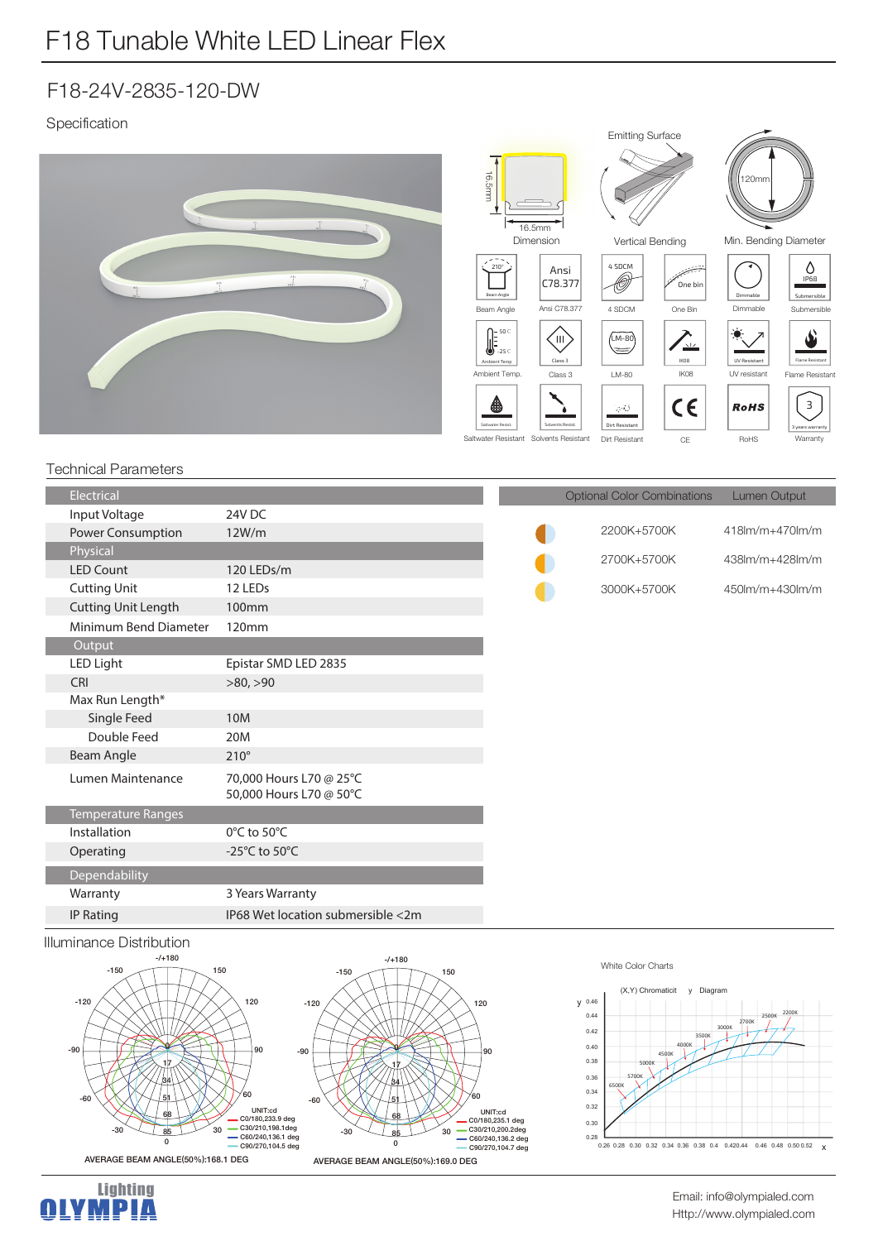Specification



### Technical Parameters

| <b>Electrical</b>          |                                     |  |
|----------------------------|-------------------------------------|--|
| Input Voltage              | 24V DC                              |  |
| <b>Power Consumption</b>   | 12W/m                               |  |
| Physical                   |                                     |  |
| <b>LED Count</b>           | 120 LEDs/m                          |  |
| <b>Cutting Unit</b>        | 12 LEDs                             |  |
| <b>Cutting Unit Length</b> | 100 <sub>mm</sub>                   |  |
| Minimum Bend Diameter      | 120mm                               |  |
| Output                     |                                     |  |
| LED Light                  | Epistar SMD LED 2835                |  |
| CRI                        | >80, >90                            |  |
| Max Run Length*            |                                     |  |
| Single Feed                | 10 <sub>M</sub>                     |  |
| Double Feed                | 20M                                 |  |
| Beam Angle                 | $210^\circ$                         |  |
| Lumen Maintenance          | 70,000 Hours L70 @ 25°C             |  |
|                            | 50,000 Hours L70 @ 50°C             |  |
| <b>Temperature Ranges</b>  |                                     |  |
| Installation               | $0^{\circ}$ C to 50 $^{\circ}$ C    |  |
| Operating                  | -25 $^{\circ}$ C to 50 $^{\circ}$ C |  |
| Dependability              |                                     |  |
| Warranty                   | 3 Years Warranty                    |  |
| <b>IP Rating</b>           | IP68 Wet location submersible <2m   |  |
|                            |                                     |  |

## Illuminance Distribution



#### White Color Charts



Optional Color Combinations Lumen Output

2200K+5700K 2700K+5700K

3000K+5700K

O

 $418$ lm/m+470lm/m  $438$ lm/m $+428$ lm/m

450lm/m+430lm/m

Http://www.olympialed.com Email: info@olympialed.com